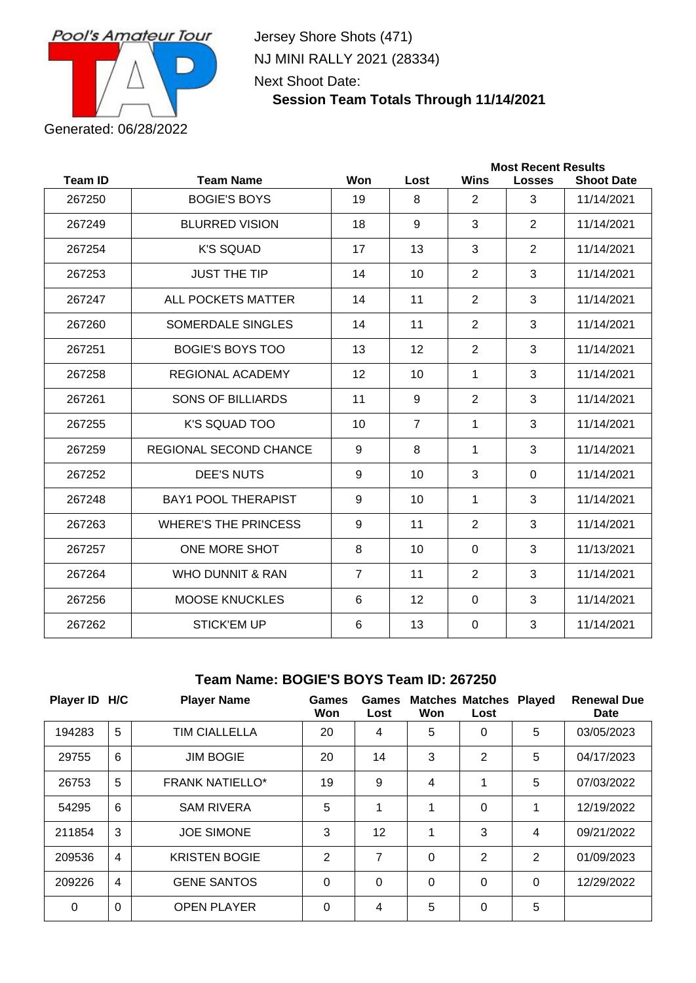

Jersey Shore Shots (471) NJ MINI RALLY 2021 (28334) Next Shoot Date:

## **Session Team Totals Through 11/14/2021**

| <b>Most Recent Results</b> |                               |                |                |                |               |                   |
|----------------------------|-------------------------------|----------------|----------------|----------------|---------------|-------------------|
| <b>Team ID</b>             | <b>Team Name</b>              | Won            | Lost           | <b>Wins</b>    | <b>Losses</b> | <b>Shoot Date</b> |
| 267250                     | <b>BOGIE'S BOYS</b>           | 19             | 8              | 2              | 3             | 11/14/2021        |
| 267249                     | <b>BLURRED VISION</b>         | 18             | 9              | 3              | 2             | 11/14/2021        |
| 267254                     | <b>K'S SQUAD</b>              | 17             | 13             | 3              | 2             | 11/14/2021        |
| 267253                     | <b>JUST THE TIP</b>           | 14             | 10             | $\overline{2}$ | 3             | 11/14/2021        |
| 267247                     | ALL POCKETS MATTER            | 14             | 11             | $\overline{2}$ | 3             | 11/14/2021        |
| 267260                     | SOMERDALE SINGLES             | 14             | 11             | $\overline{2}$ | 3             | 11/14/2021        |
| 267251                     | <b>BOGIE'S BOYS TOO</b>       | 13             | 12             | $\overline{2}$ | 3             | 11/14/2021        |
| 267258                     | REGIONAL ACADEMY              | 12             | 10             | 1              | 3             | 11/14/2021        |
| 267261                     | <b>SONS OF BILLIARDS</b>      | 11             | 9              | $\overline{2}$ | 3             | 11/14/2021        |
| 267255                     | K'S SQUAD TOO                 | 10             | $\overline{7}$ | 1              | 3             | 11/14/2021        |
| 267259                     | <b>REGIONAL SECOND CHANCE</b> | 9              | 8              | $\mathbf 1$    | 3             | 11/14/2021        |
| 267252                     | <b>DEE'S NUTS</b>             | 9              | 10             | 3              | $\Omega$      | 11/14/2021        |
| 267248                     | <b>BAY1 POOL THERAPIST</b>    | 9              | 10             | 1              | 3             | 11/14/2021        |
| 267263                     | <b>WHERE'S THE PRINCESS</b>   | 9              | 11             | $\overline{2}$ | 3             | 11/14/2021        |
| 267257                     | ONE MORE SHOT                 | 8              | 10             | $\mathbf 0$    | 3             | 11/13/2021        |
| 267264                     | <b>WHO DUNNIT &amp; RAN</b>   | $\overline{7}$ | 11             | $\overline{2}$ | 3             | 11/14/2021        |
| 267256                     | <b>MOOSE KNUCKLES</b>         | 6              | 12             | $\mathbf 0$    | 3             | 11/14/2021        |
| 267262                     | <b>STICK'EM UP</b>            | 6              | 13             | $\mathbf{0}$   | 3             | 11/14/2021        |
|                            |                               |                |                |                |               |                   |

#### **Team Name: BOGIE'S BOYS Team ID: 267250**

| Player ID H/C |                | <b>Player Name</b>     | Games<br>Won   | <b>Games</b><br>Lost | Won      | <b>Matches Matches Played</b><br>Lost |   | <b>Renewal Due</b><br>Date |
|---------------|----------------|------------------------|----------------|----------------------|----------|---------------------------------------|---|----------------------------|
| 194283        | 5              | <b>TIM CIALLELLA</b>   | 20             | 4                    | 5        | 0                                     | 5 | 03/05/2023                 |
| 29755         | 6              | <b>JIM BOGIE</b>       | 20             | 14                   | 3        | $\overline{2}$                        | 5 | 04/17/2023                 |
| 26753         | 5              | <b>FRANK NATIELLO*</b> | 19             | 9                    | 4        | 1                                     | 5 | 07/03/2022                 |
| 54295         | 6              | <b>SAM RIVERA</b>      | 5              |                      | 1        | $\Omega$                              | 1 | 12/19/2022                 |
| 211854        | 3              | <b>JOE SIMONE</b>      | 3              | 12                   | 1        | 3                                     | 4 | 09/21/2022                 |
| 209536        | $\overline{4}$ | <b>KRISTEN BOGIE</b>   | $\overline{2}$ | 7                    | $\Omega$ | 2                                     | 2 | 01/09/2023                 |
| 209226        | $\overline{4}$ | <b>GENE SANTOS</b>     | $\Omega$       | $\Omega$             | $\Omega$ | $\Omega$                              | 0 | 12/29/2022                 |
| $\Omega$      | $\Omega$       | <b>OPEN PLAYER</b>     | $\Omega$       | 4                    | 5        | 0                                     | 5 |                            |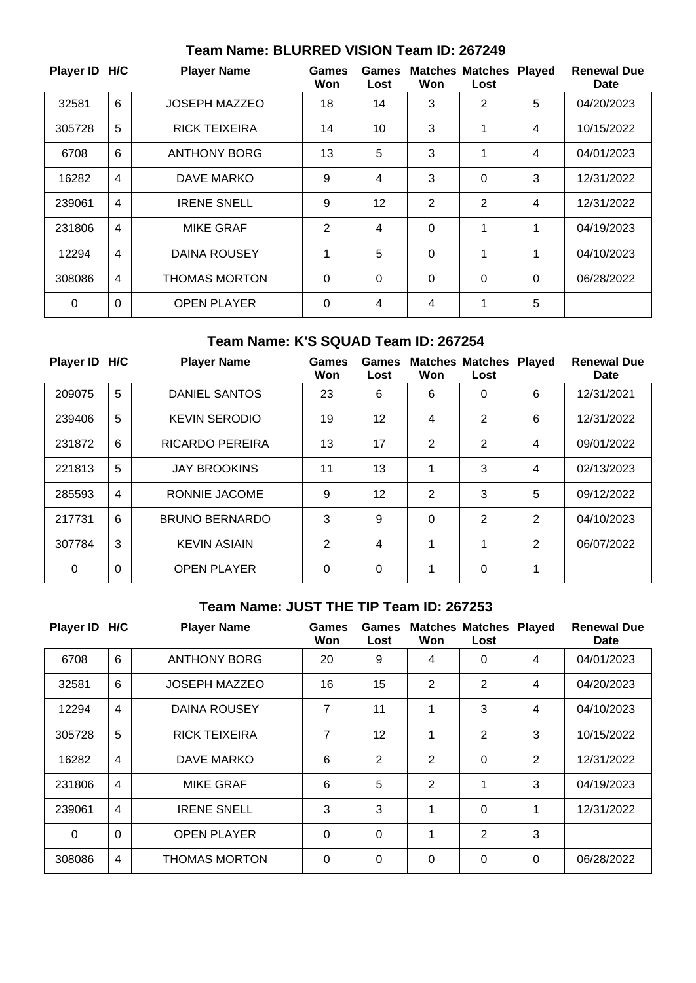| Player ID H/C |                | <b>Player Name</b>   | <b>Games</b><br>Won | <b>Games</b><br>Lost | Won      | <b>Matches Matches</b><br>Lost | <b>Played</b> | <b>Renewal Due</b><br>Date |
|---------------|----------------|----------------------|---------------------|----------------------|----------|--------------------------------|---------------|----------------------------|
| 32581         | 6              | <b>JOSEPH MAZZEO</b> | 18                  | 14                   | 3        | 2                              | 5             | 04/20/2023                 |
| 305728        | 5              | <b>RICK TEIXEIRA</b> | 14                  | 10                   | 3        | 1                              | 4             | 10/15/2022                 |
| 6708          | 6              | <b>ANTHONY BORG</b>  | 13                  | 5                    | 3        | 1                              | 4             | 04/01/2023                 |
| 16282         | 4              | DAVE MARKO           | 9                   | 4                    | 3        | $\Omega$                       | 3             | 12/31/2022                 |
| 239061        | $\overline{4}$ | <b>IRENE SNELL</b>   | 9                   | 12                   | 2        | 2                              | 4             | 12/31/2022                 |
| 231806        | 4              | <b>MIKE GRAF</b>     | 2                   | $\overline{4}$       | $\Omega$ | 1                              | 1             | 04/19/2023                 |
| 12294         | 4              | DAINA ROUSEY         | 1                   | 5                    | $\Omega$ | 1                              | 1             | 04/10/2023                 |
| 308086        | 4              | <b>THOMAS MORTON</b> | $\Omega$            | $\Omega$             | $\Omega$ | 0                              | $\Omega$      | 06/28/2022                 |
| $\Omega$      | $\Omega$       | <b>OPEN PLAYER</b>   | $\Omega$            | 4                    | 4        | 1                              | 5             |                            |

#### **Team Name: BLURRED VISION Team ID: 267249**

## **Team Name: K'S SQUAD Team ID: 267254**

| Player ID H/C |                | <b>Player Name</b>     | Games<br>Won   | Games<br>Lost | Won      | <b>Matches Matches Played</b><br>Lost |   | <b>Renewal Due</b><br>Date |
|---------------|----------------|------------------------|----------------|---------------|----------|---------------------------------------|---|----------------------------|
| 209075        | 5              | <b>DANIEL SANTOS</b>   | 23             | 6             | 6        | 0                                     | 6 | 12/31/2021                 |
| 239406        | 5              | <b>KEVIN SERODIO</b>   | 19             | 12            | 4        | 2                                     | 6 | 12/31/2022                 |
| 231872        | 6              | <b>RICARDO PEREIRA</b> | 13             | 17            | 2        | 2                                     | 4 | 09/01/2022                 |
| 221813        | 5              | <b>JAY BROOKINS</b>    | 11             | 13            | 1        | 3                                     | 4 | 02/13/2023                 |
| 285593        | $\overline{4}$ | RONNIE JACOME          | 9              | 12            | 2        | 3                                     | 5 | 09/12/2022                 |
| 217731        | 6              | <b>BRUNO BERNARDO</b>  | 3              | 9             | $\Omega$ | 2                                     | 2 | 04/10/2023                 |
| 307784        | 3              | <b>KEVIN ASIAIN</b>    | $\overline{2}$ | 4             | 1        | 1                                     | 2 | 06/07/2022                 |
| $\Omega$      | $\Omega$       | <b>OPEN PLAYER</b>     | $\Omega$       | $\Omega$      | 1        | 0                                     | 1 |                            |

## **Team Name: JUST THE TIP Team ID: 267253**

| Player ID H/C |                | <b>Player Name</b>   | Games<br>Won   | Games<br>Lost  | Won            | <b>Matches Matches Played</b><br>Lost |                | <b>Renewal Due</b><br>Date |
|---------------|----------------|----------------------|----------------|----------------|----------------|---------------------------------------|----------------|----------------------------|
| 6708          | 6              | <b>ANTHONY BORG</b>  | 20             | 9              | 4              | 0                                     | 4              | 04/01/2023                 |
| 32581         | 6              | <b>JOSEPH MAZZEO</b> | 16             | 15             | $\overline{2}$ | 2                                     | 4              | 04/20/2023                 |
| 12294         | $\overline{4}$ | DAINA ROUSEY         | $\overline{7}$ | 11             | 1              | 3                                     | $\overline{4}$ | 04/10/2023                 |
| 305728        | 5              | <b>RICK TEIXEIRA</b> | 7              | 12             | 1              | $\overline{2}$                        | 3              | 10/15/2022                 |
| 16282         | $\overline{4}$ | <b>DAVE MARKO</b>    | 6              | $\overline{2}$ | $\overline{2}$ | 0                                     | 2              | 12/31/2022                 |
| 231806        | $\overline{4}$ | <b>MIKE GRAF</b>     | 6              | 5              | $\overline{2}$ | 1                                     | 3              | 04/19/2023                 |
| 239061        | $\overline{4}$ | <b>IRENE SNELL</b>   | 3              | 3              | 1              | $\Omega$                              | 1              | 12/31/2022                 |
| $\Omega$      | $\Omega$       | <b>OPEN PLAYER</b>   | $\Omega$       | 0              | 1              | $\overline{2}$                        | 3              |                            |
| 308086        | $\overline{4}$ | <b>THOMAS MORTON</b> | $\Omega$       | 0              | 0              | 0                                     | $\Omega$       | 06/28/2022                 |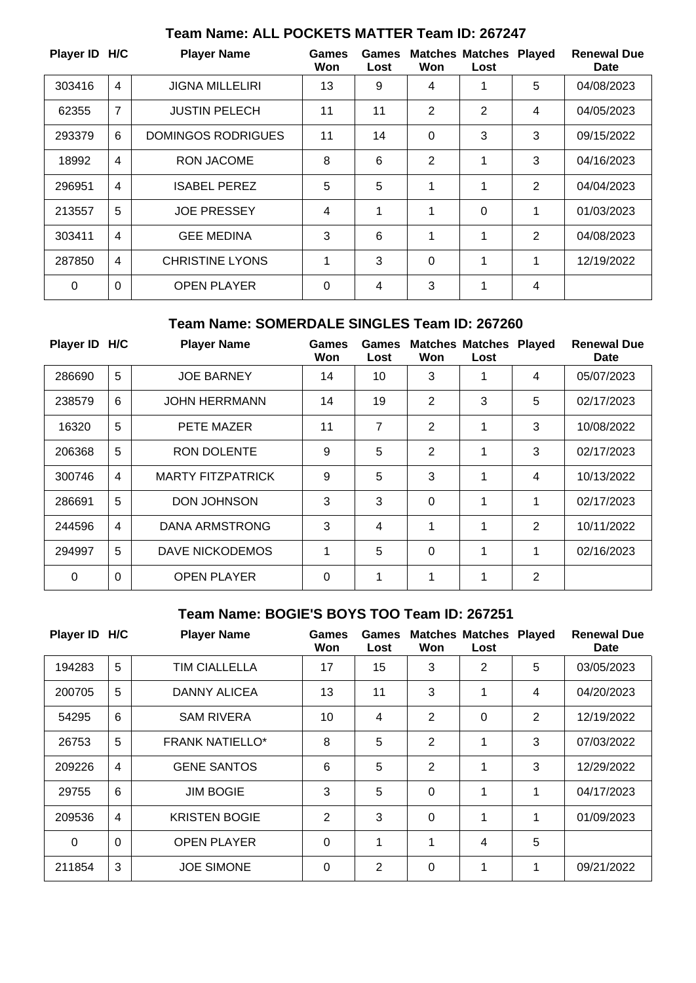| Player ID H/C |                | <b>Player Name</b>     | Games<br>Won | Games<br>Lost | Won            | <b>Matches Matches Played</b><br>Lost |   | <b>Renewal Due</b><br>Date |
|---------------|----------------|------------------------|--------------|---------------|----------------|---------------------------------------|---|----------------------------|
| 303416        | $\overline{4}$ | <b>JIGNA MILLELIRI</b> | 13           | 9             | 4              | 1                                     | 5 | 04/08/2023                 |
| 62355         | $\overline{7}$ | <b>JUSTIN PELECH</b>   | 11           | 11            | $\overline{2}$ | 2                                     | 4 | 04/05/2023                 |
| 293379        | 6              | DOMINGOS RODRIGUES     | 11           | 14            | $\Omega$       | 3                                     | 3 | 09/15/2022                 |
| 18992         | 4              | RON JACOME             | 8            | 6             | $\overline{2}$ | 1                                     | 3 | 04/16/2023                 |
| 296951        | $\overline{4}$ | <b>ISABEL PEREZ</b>    | 5            | 5             | 1              | 1                                     | 2 | 04/04/2023                 |
| 213557        | 5              | <b>JOE PRESSEY</b>     | 4            | 1             | 1              | 0                                     | 1 | 01/03/2023                 |
| 303411        | $\overline{4}$ | <b>GEE MEDINA</b>      | 3            | 6             | 1              | 1                                     | 2 | 04/08/2023                 |
| 287850        | 4              | <b>CHRISTINE LYONS</b> | 1            | 3             | $\Omega$       | 1                                     | 1 | 12/19/2022                 |
| 0             | $\Omega$       | <b>OPEN PLAYER</b>     | 0            | 4             | 3              | 1                                     | 4 |                            |

# **Team Name: ALL POCKETS MATTER Team ID: 267247**

### **Team Name: SOMERDALE SINGLES Team ID: 267260**

| Player ID H/C |                | <b>Player Name</b>       | Games<br>Won | Games<br>Lost | Won            | <b>Matches Matches</b><br>Lost | <b>Played</b>  | <b>Renewal Due</b><br><b>Date</b> |
|---------------|----------------|--------------------------|--------------|---------------|----------------|--------------------------------|----------------|-----------------------------------|
| 286690        | 5              | <b>JOE BARNEY</b>        | 14           | 10            | 3              | 1                              | 4              | 05/07/2023                        |
| 238579        | 6              | <b>JOHN HERRMANN</b>     | 14           | 19            | 2              | 3                              | 5              | 02/17/2023                        |
| 16320         | 5              | PETE MAZER               | 11           | 7             | $\overline{2}$ | 1                              | 3              | 10/08/2022                        |
| 206368        | 5              | <b>RON DOLENTE</b>       | 9            | 5             | 2              | 1                              | 3              | 02/17/2023                        |
| 300746        | 4              | <b>MARTY FITZPATRICK</b> | 9            | 5             | 3              | 1                              | $\overline{4}$ | 10/13/2022                        |
| 286691        | 5              | <b>DON JOHNSON</b>       | 3            | 3             | $\overline{0}$ | 1                              | 1              | 02/17/2023                        |
| 244596        | $\overline{4}$ | DANA ARMSTRONG           | 3            | 4             | 1              | 1                              | 2              | 10/11/2022                        |
| 294997        | 5              | <b>DAVE NICKODEMOS</b>   | 1            | 5             | $\Omega$       | 1                              | 1              | 02/16/2023                        |
| 0             | 0              | <b>OPEN PLAYER</b>       | $\Omega$     |               | 1              | 1                              | $\overline{2}$ |                                   |

### **Team Name: BOGIE'S BOYS TOO Team ID: 267251**

| Player ID H/C |                | <b>Player Name</b>     | <b>Games</b><br>Won | <b>Games</b><br>Lost | Won            | <b>Matches Matches</b><br>Lost | <b>Played</b> | <b>Renewal Due</b><br><b>Date</b> |
|---------------|----------------|------------------------|---------------------|----------------------|----------------|--------------------------------|---------------|-----------------------------------|
| 194283        | 5              | <b>TIM CIALLELLA</b>   | 17                  | 15                   | 3              | 2                              | 5             | 03/05/2023                        |
| 200705        | 5              | <b>DANNY ALICEA</b>    | 13                  | 11                   | 3              | 1                              | 4             | 04/20/2023                        |
| 54295         | 6              | <b>SAM RIVERA</b>      | 10                  | 4                    | 2              | 0                              | 2             | 12/19/2022                        |
| 26753         | 5              | <b>FRANK NATIELLO*</b> | 8                   | 5                    | $\overline{2}$ | 1                              | 3             | 07/03/2022                        |
| 209226        | 4              | <b>GENE SANTOS</b>     | 6                   | 5                    | 2              | 1                              | 3             | 12/29/2022                        |
| 29755         | 6              | <b>JIM BOGIE</b>       | 3                   | 5                    | $\mathbf 0$    | 1                              | 1             | 04/17/2023                        |
| 209536        | $\overline{4}$ | <b>KRISTEN BOGIE</b>   | 2                   | 3                    | $\Omega$       | 1                              | 1             | 01/09/2023                        |
| $\Omega$      | $\mathbf 0$    | <b>OPEN PLAYER</b>     | $\mathbf 0$         | 1                    | 1              | 4                              | 5             |                                   |
| 211854        | 3              | <b>JOE SIMONE</b>      | $\Omega$            | $\overline{2}$       | $\Omega$       | 1                              | 1             | 09/21/2022                        |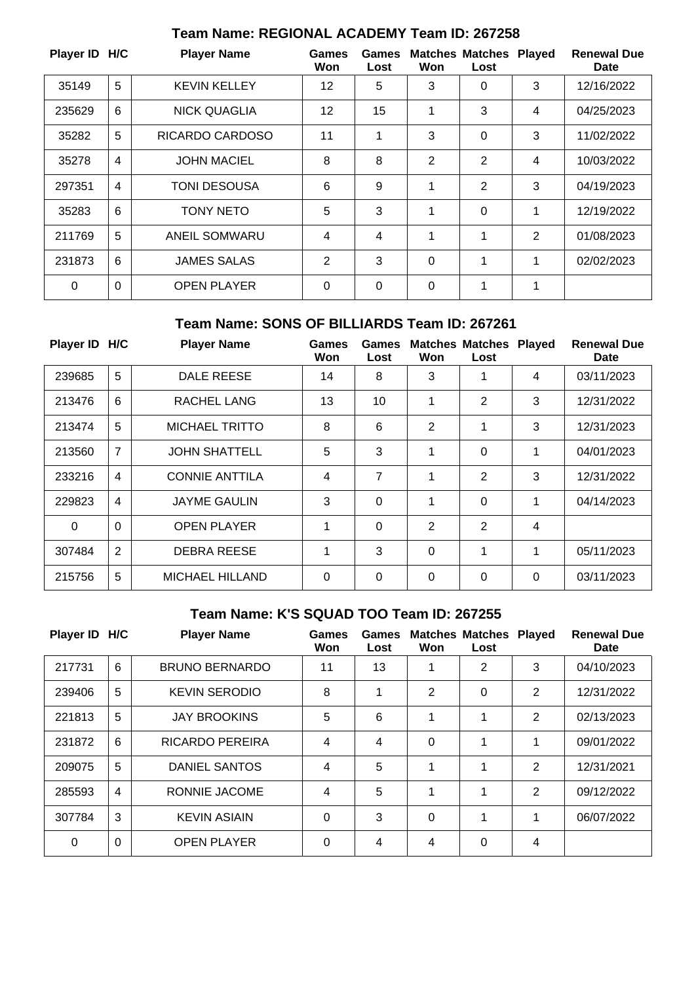| Player ID H/C |                | <b>Player Name</b>  | Games<br>Won   | Games<br>Lost | Won            | <b>Matches Matches Played</b><br>Lost |                | <b>Renewal Due</b><br>Date |
|---------------|----------------|---------------------|----------------|---------------|----------------|---------------------------------------|----------------|----------------------------|
| 35149         | 5              | <b>KEVIN KELLEY</b> | 12             | 5             | 3              | 0                                     | 3              | 12/16/2022                 |
| 235629        | 6              | <b>NICK QUAGLIA</b> | 12             | 15            | 1              | 3                                     | 4              | 04/25/2023                 |
| 35282         | 5              | RICARDO CARDOSO     | 11             | 1             | 3              | 0                                     | 3              | 11/02/2022                 |
| 35278         | $\overline{4}$ | <b>JOHN MACIEL</b>  | 8              | 8             | $\overline{2}$ | 2                                     | $\overline{4}$ | 10/03/2022                 |
| 297351        | $\overline{4}$ | TONI DESOUSA        | 6              | 9             | 1              | $\overline{2}$                        | 3              | 04/19/2023                 |
| 35283         | 6              | <b>TONY NETO</b>    | 5              | 3             | 1              | 0                                     | 1              | 12/19/2022                 |
| 211769        | 5              | ANEIL SOMWARU       | 4              | 4             | 1              | $\mathbf 1$                           | 2              | 01/08/2023                 |
| 231873        | 6              | <b>JAMES SALAS</b>  | $\overline{2}$ | 3             | $\mathbf 0$    | 1                                     | 1              | 02/02/2023                 |
| $\Omega$      | $\mathbf 0$    | <b>OPEN PLAYER</b>  | $\Omega$       | $\Omega$      | $\Omega$       | 1                                     | 1              |                            |

## **Team Name: REGIONAL ACADEMY Team ID: 267258**

### **Team Name: SONS OF BILLIARDS Team ID: 267261**

| Player ID H/C |                | <b>Player Name</b>     | <b>Games</b><br>Won | Games<br>Lost | Won      | <b>Matches Matches</b><br>Lost | <b>Played</b>  | <b>Renewal Due</b><br>Date |
|---------------|----------------|------------------------|---------------------|---------------|----------|--------------------------------|----------------|----------------------------|
| 239685        | 5              | <b>DALE REESE</b>      | 14                  | 8             | 3        | 1                              | 4              | 03/11/2023                 |
| 213476        | 6              | <b>RACHEL LANG</b>     | 13                  | 10            | 1        | 2                              | 3              | 12/31/2022                 |
| 213474        | 5              | <b>MICHAEL TRITTO</b>  | 8                   | 6             | 2        | 1                              | 3              | 12/31/2023                 |
| 213560        | $\overline{7}$ | <b>JOHN SHATTELL</b>   | 5                   | 3             | 1        | 0                              | 1              | 04/01/2023                 |
| 233216        | $\overline{4}$ | CONNIE ANTTILA         | 4                   | 7             | 1        | 2                              | 3              | 12/31/2022                 |
| 229823        | 4              | <b>JAYME GAULIN</b>    | 3                   | 0             | 1        | 0                              | 1              | 04/14/2023                 |
| $\Omega$      | $\Omega$       | <b>OPEN PLAYER</b>     | 1                   | 0             | 2        | 2                              | $\overline{4}$ |                            |
| 307484        | 2              | <b>DEBRA REESE</b>     | 1                   | 3             | $\Omega$ | 1                              | 1              | 05/11/2023                 |
| 215756        | 5              | <b>MICHAEL HILLAND</b> | $\Omega$            | 0             | $\Omega$ | 0                              | $\Omega$       | 03/11/2023                 |

## **Team Name: K'S SQUAD TOO Team ID: 267255**

| Player ID H/C |                | <b>Player Name</b>    | Games<br>Won | Games<br>Lost | Won      | <b>Matches Matches</b><br>Lost | <b>Played</b>  | <b>Renewal Due</b><br><b>Date</b> |
|---------------|----------------|-----------------------|--------------|---------------|----------|--------------------------------|----------------|-----------------------------------|
| 217731        | 6              | <b>BRUNO BERNARDO</b> | 11           | 13            | 1        | 2                              | 3              | 04/10/2023                        |
| 239406        | 5              | <b>KEVIN SERODIO</b>  | 8            | 1             | 2        | $\Omega$                       | $\overline{2}$ | 12/31/2022                        |
| 221813        | 5              | <b>JAY BROOKINS</b>   | 5            | 6             | 1        | 1                              | 2              | 02/13/2023                        |
| 231872        | 6              | RICARDO PEREIRA       | 4            | 4             | $\Omega$ | 1                              | 1              | 09/01/2022                        |
| 209075        | 5              | <b>DANIEL SANTOS</b>  | 4            | 5             | 1        | 1                              | 2              | 12/31/2021                        |
| 285593        | $\overline{4}$ | RONNIE JACOME         | 4            | 5             | 1        | 1                              | 2              | 09/12/2022                        |
| 307784        | 3              | <b>KEVIN ASIAIN</b>   | $\Omega$     | 3             | $\Omega$ | 1                              | 1              | 06/07/2022                        |
| 0             | $\mathbf 0$    | <b>OPEN PLAYER</b>    | $\Omega$     | 4             | 4        | $\Omega$                       | 4              |                                   |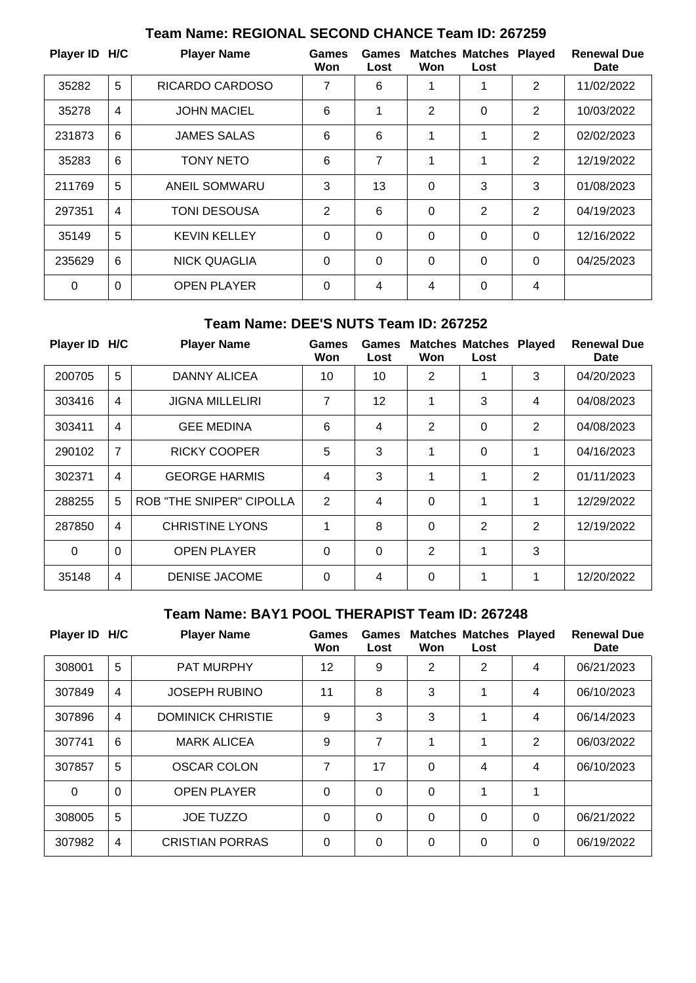| Player ID H/C |                | <b>Player Name</b>  | Games<br>Won   | Games<br>Lost  | Won            | <b>Matches Matches</b><br>Lost | <b>Played</b>  | <b>Renewal Due</b><br>Date |
|---------------|----------------|---------------------|----------------|----------------|----------------|--------------------------------|----------------|----------------------------|
| 35282         | 5              | RICARDO CARDOSO     | 7              | 6              | 1              | 1                              | 2              | 11/02/2022                 |
| 35278         | 4              | <b>JOHN MACIEL</b>  | 6              | 1              | $\overline{2}$ | 0                              | $\overline{2}$ | 10/03/2022                 |
| 231873        | 6              | JAMES SALAS         | 6              | 6              | 1              | 1                              | 2              | 02/02/2023                 |
| 35283         | $6\phantom{1}$ | <b>TONY NETO</b>    | 6              | 7              | 1              | 1                              | 2              | 12/19/2022                 |
| 211769        | 5              | ANEIL SOMWARU       | 3              | 13             | $\overline{0}$ | 3                              | 3              | 01/08/2023                 |
| 297351        | $\overline{4}$ | <b>TONI DESOUSA</b> | $\overline{2}$ | 6              | $\Omega$       | 2                              | 2              | 04/19/2023                 |
| 35149         | 5              | <b>KEVIN KELLEY</b> | $\Omega$       | $\Omega$       | $\Omega$       | $\Omega$                       | $\Omega$       | 12/16/2022                 |
| 235629        | 6              | <b>NICK QUAGLIA</b> | $\Omega$       | $\overline{0}$ | $\overline{0}$ | $\Omega$                       | $\Omega$       | 04/25/2023                 |
| $\Omega$      | $\overline{0}$ | <b>OPEN PLAYER</b>  | $\Omega$       | 4              | 4              | 0                              | 4              |                            |

# **Team Name: REGIONAL SECOND CHANCE Team ID: 267259**

#### **Team Name: DEE'S NUTS Team ID: 267252**

| <b>Player ID</b> | H/C            | <b>Player Name</b>              | Games<br>Won   | Games<br>Lost  | Won            | <b>Matches Matches</b><br>Lost | <b>Played</b>  | <b>Renewal Due</b><br><b>Date</b> |
|------------------|----------------|---------------------------------|----------------|----------------|----------------|--------------------------------|----------------|-----------------------------------|
| 200705           | 5              | DANNY ALICEA                    | 10             | 10             | $\overline{2}$ | 1                              | 3              | 04/20/2023                        |
| 303416           | $\overline{4}$ | <b>JIGNA MILLELIRI</b>          | $\overline{7}$ | 12             | 1              | 3                              | 4              | 04/08/2023                        |
| 303411           | $\overline{4}$ | <b>GEE MEDINA</b>               | 6              | 4              | $\overline{2}$ | $\Omega$                       | $\overline{2}$ | 04/08/2023                        |
| 290102           | $\overline{7}$ | <b>RICKY COOPER</b>             | 5              | 3              | 1              | $\Omega$                       | 1              | 04/16/2023                        |
| 302371           | $\overline{4}$ | <b>GEORGE HARMIS</b>            | 4              | 3              | 1              | 1                              | $\overline{2}$ | 01/11/2023                        |
| 288255           | 5              | <b>ROB "THE SNIPER" CIPOLLA</b> | 2              | 4              | $\Omega$       | 1                              | 1              | 12/29/2022                        |
| 287850           | $\overline{4}$ | <b>CHRISTINE LYONS</b>          | 1              | 8              | $\Omega$       | 2                              | $\overline{2}$ | 12/19/2022                        |
| $\Omega$         | $\Omega$       | <b>OPEN PLAYER</b>              | $\Omega$       | $\overline{0}$ | 2              | 1                              | 3              |                                   |
| 35148            | $\overline{4}$ | <b>DENISE JACOME</b>            | $\Omega$       | 4              | $\Omega$       | 1                              | 1              | 12/20/2022                        |

## **Team Name: BAY1 POOL THERAPIST Team ID: 267248**

| <b>Player ID</b> | H/C            | <b>Player Name</b>       | Games<br>Won | Games<br>Lost | Won            | <b>Matches Matches</b><br>Lost | <b>Played</b>  | <b>Renewal Due</b><br><b>Date</b> |
|------------------|----------------|--------------------------|--------------|---------------|----------------|--------------------------------|----------------|-----------------------------------|
| 308001           | 5              | <b>PAT MURPHY</b>        | 12           | 9             | $\overline{2}$ | 2                              | 4              | 06/21/2023                        |
| 307849           | $\overline{4}$ | <b>JOSEPH RUBINO</b>     | 11           | 8             | 3              | 1                              | 4              | 06/10/2023                        |
| 307896           | $\overline{4}$ | <b>DOMINICK CHRISTIE</b> | 9            | 3             | 3              | 1                              | 4              | 06/14/2023                        |
| 307741           | 6              | <b>MARK ALICEA</b>       | 9            | 7             | 4              | 1                              | $\overline{2}$ | 06/03/2022                        |
| 307857           | 5              | OSCAR COLON              | 7            | 17            | $\Omega$       | $\overline{4}$                 | 4              | 06/10/2023                        |
| $\Omega$         | $\Omega$       | <b>OPEN PLAYER</b>       | $\Omega$     | $\Omega$      | 0              | 1                              | 1              |                                   |
| 308005           | 5              | <b>JOE TUZZO</b>         | $\Omega$     | $\Omega$      | 0              | $\Omega$                       | 0              | 06/21/2022                        |
| 307982           | $\overline{4}$ | <b>CRISTIAN PORRAS</b>   | $\Omega$     | $\Omega$      | 0              | $\Omega$                       | 0              | 06/19/2022                        |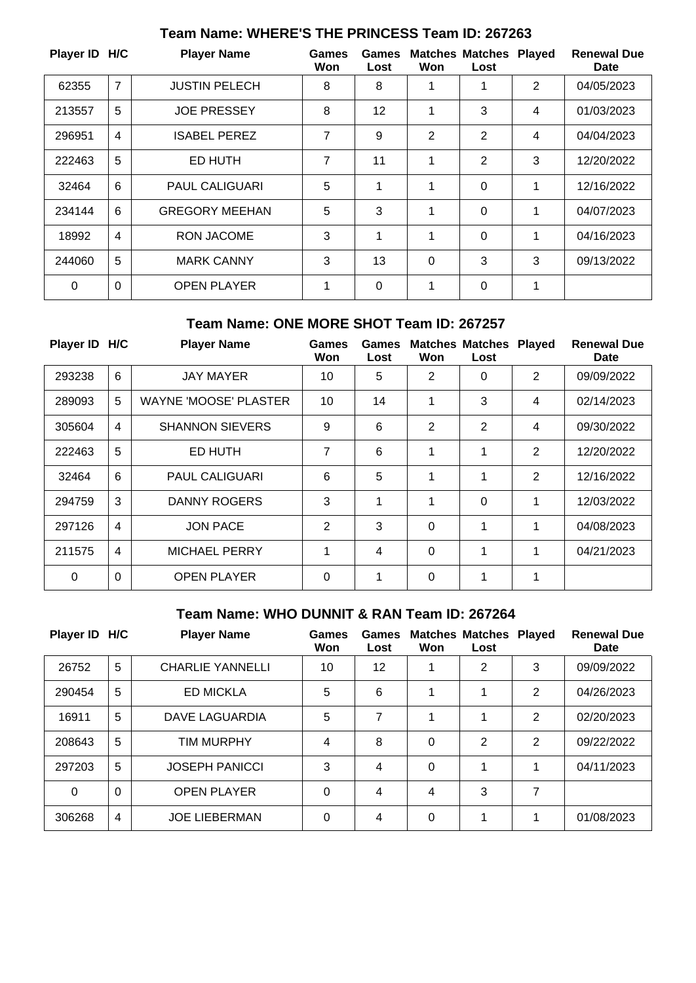| Player ID H/C |                | <b>Player Name</b>    | <b>Games</b><br>Won | Games<br>Lost | Won            | <b>Matches Matches</b><br>Lost | <b>Played</b> | <b>Renewal Due</b><br>Date |
|---------------|----------------|-----------------------|---------------------|---------------|----------------|--------------------------------|---------------|----------------------------|
| 62355         | $\overline{7}$ | <b>JUSTIN PELECH</b>  | 8                   | 8             | 1              | 1                              | 2             | 04/05/2023                 |
| 213557        | 5              | <b>JOE PRESSEY</b>    | 8                   | 12            | 1              | 3                              | 4             | 01/03/2023                 |
| 296951        | $\overline{4}$ | <b>ISABEL PEREZ</b>   | $\overline{7}$      | 9             | $\overline{2}$ | $\overline{2}$                 | 4             | 04/04/2023                 |
| 222463        | 5              | ED HUTH               | 7                   | 11            | 1              | $\overline{2}$                 | 3             | 12/20/2022                 |
| 32464         | 6              | <b>PAUL CALIGUARI</b> | 5                   | 1             | 1              | $\mathbf 0$                    | 1             | 12/16/2022                 |
| 234144        | 6              | <b>GREGORY MEEHAN</b> | 5                   | 3             | 1              | $\mathbf 0$                    | 1             | 04/07/2023                 |
| 18992         | $\overline{4}$ | RON JACOME            | 3                   | 1             | 1              | $\Omega$                       | 1             | 04/16/2023                 |
| 244060        | 5              | <b>MARK CANNY</b>     | 3                   | 13            | $\overline{0}$ | 3                              | 3             | 09/13/2022                 |
| $\Omega$      | $\mathbf 0$    | <b>OPEN PLAYER</b>    | 1                   | $\Omega$      | 1              | $\Omega$                       | 1             |                            |

# **Team Name: WHERE'S THE PRINCESS Team ID: 267263**

#### **Team Name: ONE MORE SHOT Team ID: 267257**

| Player ID H/C |                | <b>Player Name</b>           | Games<br>Won   | Games<br>Lost | Won            | <b>Matches Matches</b><br>Lost | <b>Played</b> | <b>Renewal Due</b><br>Date |
|---------------|----------------|------------------------------|----------------|---------------|----------------|--------------------------------|---------------|----------------------------|
| 293238        | 6              | <b>JAY MAYER</b>             | 10             | 5             | $\overline{2}$ | 0                              | 2             | 09/09/2022                 |
| 289093        | 5              | <b>WAYNE 'MOOSE' PLASTER</b> | 10             | 14            | 1              | 3                              | 4             | 02/14/2023                 |
| 305604        | $\overline{4}$ | <b>SHANNON SIEVERS</b>       | 9              | 6             | 2              | $\overline{2}$                 | 4             | 09/30/2022                 |
| 222463        | 5              | ED HUTH                      | $\overline{7}$ | 6             | 1              | 1                              | 2             | 12/20/2022                 |
| 32464         | 6              | <b>PAUL CALIGUARI</b>        | 6              | 5             | 1              | 1                              | 2             | 12/16/2022                 |
| 294759        | 3              | <b>DANNY ROGERS</b>          | 3              | 1             | 1              | 0                              | 1             | 12/03/2022                 |
| 297126        | $\overline{4}$ | <b>JON PACE</b>              | 2              | 3             | $\Omega$       | 1                              | 1             | 04/08/2023                 |
| 211575        | $\overline{4}$ | <b>MICHAEL PERRY</b>         | 1              | 4             | 0              | 1                              | 1             | 04/21/2023                 |
| $\mathbf 0$   | $\overline{0}$ | <b>OPEN PLAYER</b>           | $\Omega$       |               | 0              | 1                              | 1             |                            |

## **Team Name: WHO DUNNIT & RAN Team ID: 267264**

| <b>Player ID</b> | H/C            | <b>Player Name</b>      | Games<br>Won | Games<br>Lost | Won | <b>Matches Matches Played</b><br>Lost |                | <b>Renewal Due</b><br>Date |
|------------------|----------------|-------------------------|--------------|---------------|-----|---------------------------------------|----------------|----------------------------|
| 26752            | 5              | <b>CHARLIE YANNELLI</b> | 10           | 12            |     | $\overline{2}$                        | 3              | 09/09/2022                 |
| 290454           | 5              | <b>ED MICKLA</b>        | 5            | 6             |     | 1                                     | 2              | 04/26/2023                 |
| 16911            | 5              | DAVE LAGUARDIA          | 5            | 7             |     | 4                                     | 2              | 02/20/2023                 |
| 208643           | 5              | <b>TIM MURPHY</b>       | 4            | 8             | 0   | $\overline{2}$                        | $\overline{2}$ | 09/22/2022                 |
| 297203           | 5              | <b>JOSEPH PANICCI</b>   | 3            | 4             | 0   | 4                                     | 1              | 04/11/2023                 |
| $\Omega$         | $\mathbf 0$    | <b>OPEN PLAYER</b>      | 0            | 4             | 4   | 3                                     | 7              |                            |
| 306268           | $\overline{4}$ | <b>JOE LIEBERMAN</b>    | 0            | 4             | 0   | 4                                     | 1              | 01/08/2023                 |